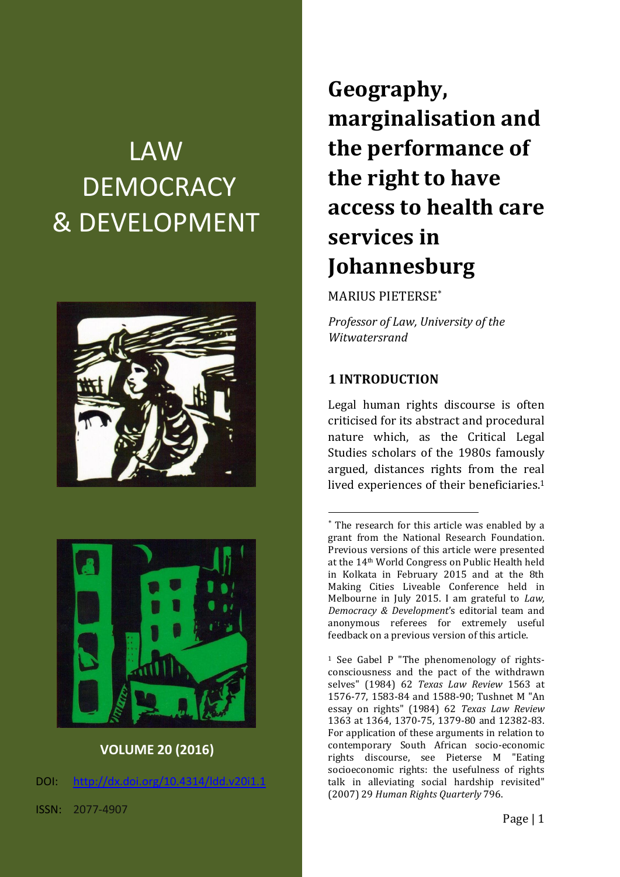# LAW **DEMOCRACY** & DEVELOPMENT





# **VOLUME 20 (2016)**

DOI: [http://dx.doi.org/10.4314/ldd.v20i1.1](http://dx.doi.org/10.4314/ldd.v20i1.)

ISSN: 2077-4907

**Geography, marginalisation and the performance of the right to have access to health care services in Johannesburg**

MARIUS PIETERSE

*Professor of Law, University of the Witwatersrand*

#### **1 INTRODUCTION**

1

Legal human rights discourse is often criticised for its abstract and procedural nature which, as the Critical Legal Studies scholars of the 1980s famously argued, distances rights from the real lived experiences of their beneficiaries.<sup>1</sup>

 The research for this article was enabled by a grant from the National Research Foundation. Previous versions of this article were presented at the 14th World Congress on Public Health held in Kolkata in February 2015 and at the 8th Making Cities Liveable Conference held in Melbourne in July 2015. I am grateful to *Law, Democracy & Development*'s editorial team and anonymous referees for extremely useful feedback on a previous version of this article.

<sup>1</sup> See Gabel P "The phenomenology of rightsconsciousness and the pact of the withdrawn selves" (1984) 62 *Texas Law Review* 1563 at 1576-77, 1583-84 and 1588-90; Tushnet M "An essay on rights" (1984) 62 *Texas Law Review* 1363 at 1364, 1370-75, 1379-80 and 12382-83. For application of these arguments in relation to contemporary South African socio-economic rights discourse, see Pieterse M "Eating socioeconomic rights: the usefulness of rights talk in alleviating social hardship revisited" (2007) 29 *Human Rights Quarterly* 796.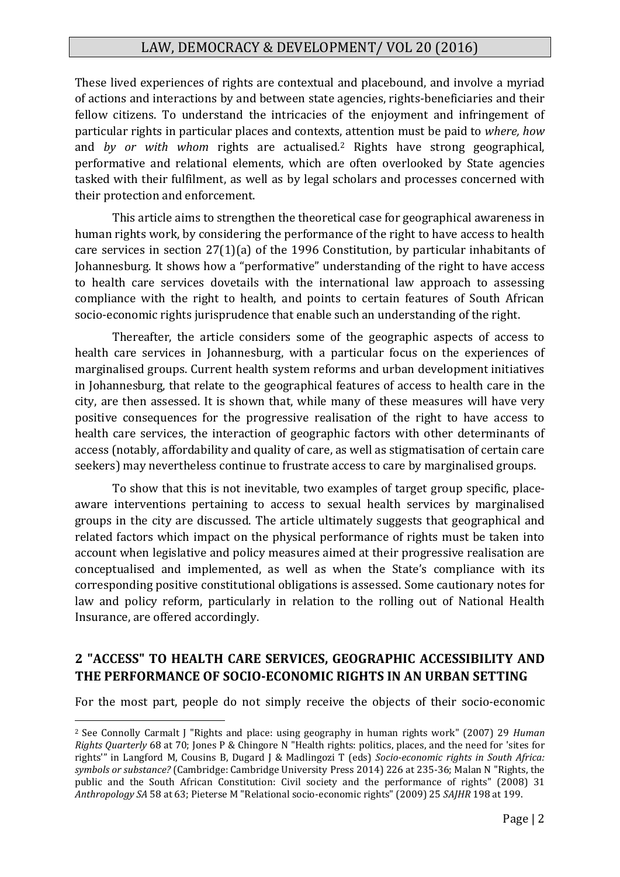These lived experiences of rights are contextual and placebound, and involve a myriad of actions and interactions by and between state agencies, rights-beneficiaries and their fellow citizens. To understand the intricacies of the enjoyment and infringement of particular rights in particular places and contexts, attention must be paid to *where, how* and *by or with whom* rights are actualised.<sup>2</sup> Rights have strong geographical, performative and relational elements, which are often overlooked by State agencies tasked with their fulfilment, as well as by legal scholars and processes concerned with their protection and enforcement.

This article aims to strengthen the theoretical case for geographical awareness in human rights work, by considering the performance of the right to have access to health care services in section 27(1)(a) of the 1996 Constitution, by particular inhabitants of Johannesburg. It shows how a "performative" understanding of the right to have access to health care services dovetails with the international law approach to assessing compliance with the right to health, and points to certain features of South African socio-economic rights jurisprudence that enable such an understanding of the right.

Thereafter, the article considers some of the geographic aspects of access to health care services in Johannesburg, with a particular focus on the experiences of marginalised groups. Current health system reforms and urban development initiatives in Johannesburg, that relate to the geographical features of access to health care in the city, are then assessed. It is shown that, while many of these measures will have very positive consequences for the progressive realisation of the right to have access to health care services, the interaction of geographic factors with other determinants of access (notably, affordability and quality of care, as well as stigmatisation of certain care seekers) may nevertheless continue to frustrate access to care by marginalised groups.

To show that this is not inevitable, two examples of target group specific, placeaware interventions pertaining to access to sexual health services by marginalised groups in the city are discussed. The article ultimately suggests that geographical and related factors which impact on the physical performance of rights must be taken into account when legislative and policy measures aimed at their progressive realisation are conceptualised and implemented, as well as when the State's compliance with its corresponding positive constitutional obligations is assessed. Some cautionary notes for law and policy reform, particularly in relation to the rolling out of National Health Insurance, are offered accordingly.

### **2 "ACCESS" TO HEALTH CARE SERVICES, GEOGRAPHIC ACCESSIBILITY AND THE PERFORMANCE OF SOCIO-ECONOMIC RIGHTS IN AN URBAN SETTING**

For the most part, people do not simply receive the objects of their socio-economic

<sup>2</sup> See Connolly Carmalt J "Rights and place: using geography in human rights work" (2007) 29 *Human Rights Quarterly* 68 at 70; Jones P & Chingore N "Health rights: politics, places, and the need for 'sites for rights'" in Langford M, Cousins B, Dugard J & Madlingozi T (eds) *Socio-economic rights in South Africa: symbols or substance?* (Cambridge: Cambridge University Press 2014) 226 at 235-36; Malan N "Rights, the public and the South African Constitution: Civil society and the performance of rights" (2008) 31 *Anthropology SA* 58 at 63; Pieterse M "Relational socio-economic rights" (2009) 25 *SAJHR* 198 at 199.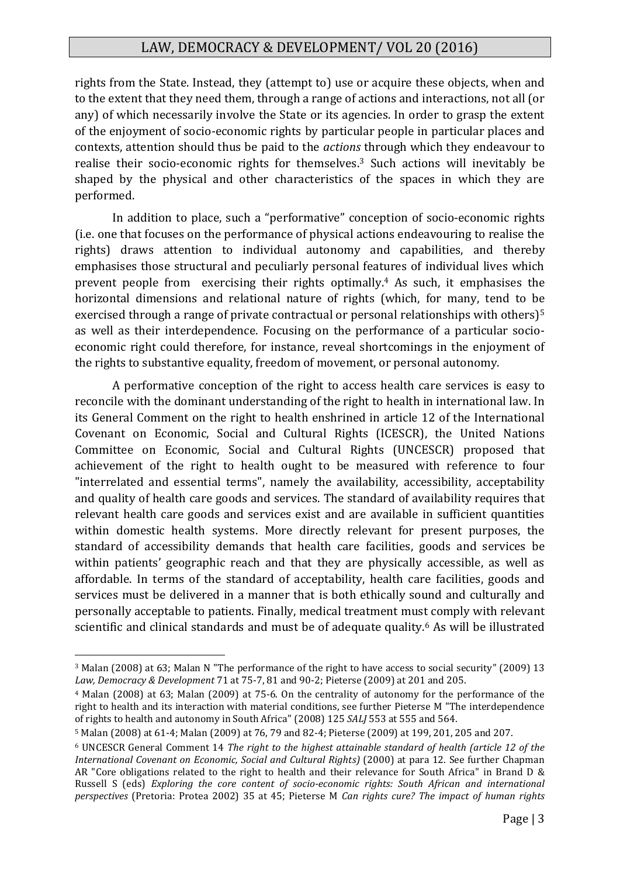rights from the State. Instead, they (attempt to) use or acquire these objects, when and to the extent that they need them, through a range of actions and interactions, not all (or any) of which necessarily involve the State or its agencies. In order to grasp the extent of the enjoyment of socio-economic rights by particular people in particular places and contexts, attention should thus be paid to the *actions* through which they endeavour to realise their socio-economic rights for themselves.<sup>3</sup> Such actions will inevitably be shaped by the physical and other characteristics of the spaces in which they are performed.

In addition to place, such a "performative" conception of socio-economic rights (i.e. one that focuses on the performance of physical actions endeavouring to realise the rights) draws attention to individual autonomy and capabilities, and thereby emphasises those structural and peculiarly personal features of individual lives which prevent people from exercising their rights optimally. <sup>4</sup> As such, it emphasises the horizontal dimensions and relational nature of rights (which, for many, tend to be exercised through a range of private contractual or personal relationships with others)<sup>5</sup> as well as their interdependence. Focusing on the performance of a particular socioeconomic right could therefore, for instance, reveal shortcomings in the enjoyment of the rights to substantive equality, freedom of movement, or personal autonomy.

A performative conception of the right to access health care services is easy to reconcile with the dominant understanding of the right to health in international law. In its General Comment on the right to health enshrined in article 12 of the International Covenant on Economic, Social and Cultural Rights (ICESCR), the United Nations Committee on Economic, Social and Cultural Rights (UNCESCR) proposed that achievement of the right to health ought to be measured with reference to four "interrelated and essential terms", namely the availability, accessibility, acceptability and quality of health care goods and services. The standard of availability requires that relevant health care goods and services exist and are available in sufficient quantities within domestic health systems. More directly relevant for present purposes, the standard of accessibility demands that health care facilities, goods and services be within patients' geographic reach and that they are physically accessible, as well as affordable. In terms of the standard of acceptability, health care facilities, goods and services must be delivered in a manner that is both ethically sound and culturally and personally acceptable to patients. Finally, medical treatment must comply with relevant scientific and clinical standards and must be of adequate quality.<sup>6</sup> As will be illustrated

<u>.</u>

<sup>3</sup> Malan (2008) at 63; Malan N "The performance of the right to have access to social security" (2009) 13 *Law, Democracy & Development* 71 at 75-7, 81 and 90-2; Pieterse (2009) at 201 and 205.

<sup>4</sup> Malan (2008) at 63; Malan (2009) at 75-6. On the centrality of autonomy for the performance of the right to health and its interaction with material conditions, see further Pieterse M "The interdependence of rights to health and autonomy in South Africa" (2008) 125 *SALJ* 553 at 555 and 564.

<sup>5</sup> Malan (2008) at 61-4; Malan (2009) at 76, 79 and 82-4; Pieterse (2009) at 199, 201, 205 and 207.

<sup>6</sup> UNCESCR General Comment 14 *The right to the highest attainable standard of health (article 12 of the International Covenant on Economic, Social and Cultural Rights)* (2000) at para 12. See further Chapman AR "Core obligations related to the right to health and their relevance for South Africa" in Brand D & Russell S (eds) *Exploring the core content of socio-economic rights: South African and international perspectives* (Pretoria: Protea 2002) 35 at 45; Pieterse M *Can rights cure? The impact of human rights*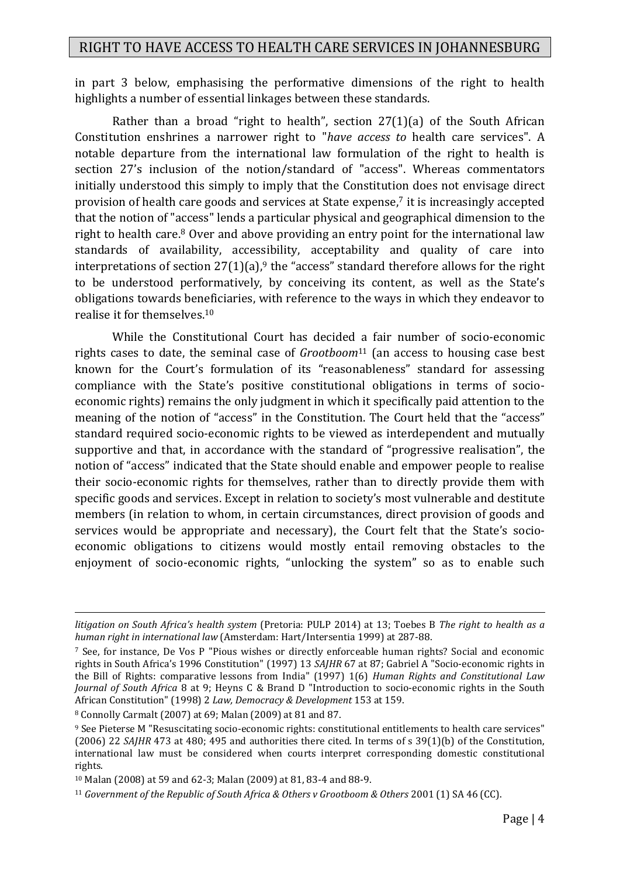in part 3 below, emphasising the performative dimensions of the right to health highlights a number of essential linkages between these standards.

Rather than a broad "right to health", section 27(1)(a) of the South African Constitution enshrines a narrower right to "*have access to* health care services". A notable departure from the international law formulation of the right to health is section 27's inclusion of the notion/standard of "access". Whereas commentators initially understood this simply to imply that the Constitution does not envisage direct provision of health care goods and services at State expense,<sup>7</sup> it is increasingly accepted that the notion of "access" lends a particular physical and geographical dimension to the right to health care.<sup>8</sup> Over and above providing an entry point for the international law standards of availability, accessibility, acceptability and quality of care into interpretations of section 27(1)(a), <sup>9</sup> the "access" standard therefore allows for the right to be understood performatively, by conceiving its content, as well as the State's obligations towards beneficiaries, with reference to the ways in which they endeavor to realise it for themselves.<sup>10</sup>

While the Constitutional Court has decided a fair number of socio-economic rights cases to date, the seminal case of *Grootboom*<sup>11</sup> (an access to housing case best known for the Court's formulation of its "reasonableness" standard for assessing compliance with the State's positive constitutional obligations in terms of socioeconomic rights) remains the only judgment in which it specifically paid attention to the meaning of the notion of "access" in the Constitution. The Court held that the "access" standard required socio-economic rights to be viewed as interdependent and mutually supportive and that, in accordance with the standard of "progressive realisation", the notion of "access" indicated that the State should enable and empower people to realise their socio-economic rights for themselves, rather than to directly provide them with specific goods and services. Except in relation to society's most vulnerable and destitute members (in relation to whom, in certain circumstances, direct provision of goods and services would be appropriate and necessary), the Court felt that the State's socioeconomic obligations to citizens would mostly entail removing obstacles to the enjoyment of socio-economic rights, "unlocking the system" so as to enable such

*litigation on South Africa's health system* (Pretoria: PULP 2014) at 13; Toebes B *The right to health as a human right in international law* (Amsterdam: Hart/Intersentia 1999) at 287-88.

<sup>7</sup> See, for instance, De Vos P "Pious wishes or directly enforceable human rights? Social and economic rights in South Africa's 1996 Constitution" (1997) 13 *SAJHR* 67 at 87; Gabriel A "Socio-economic rights in the Bill of Rights: comparative lessons from India" (1997) 1(6) *Human Rights and Constitutional Law Journal of South Africa* 8 at 9; Heyns C & Brand D "Introduction to socio-economic rights in the South African Constitution" (1998) 2 *Law, Democracy & Development* 153 at 159.

<sup>8</sup> Connolly Carmalt (2007) at 69; Malan (2009) at 81 and 87.

<sup>9</sup> See Pieterse M "Resuscitating socio-economic rights: constitutional entitlements to health care services" (2006) 22 *SAJHR* 473 at 480; 495 and authorities there cited. In terms of s 39(1)(b) of the Constitution, international law must be considered when courts interpret corresponding domestic constitutional rights.

<sup>10</sup> Malan (2008) at 59 and 62-3; Malan (2009) at 81, 83-4 and 88-9.

<sup>11</sup> *Government of the Republic of South Africa & Others v Grootboom & Others* 2001 (1) SA 46 (CC).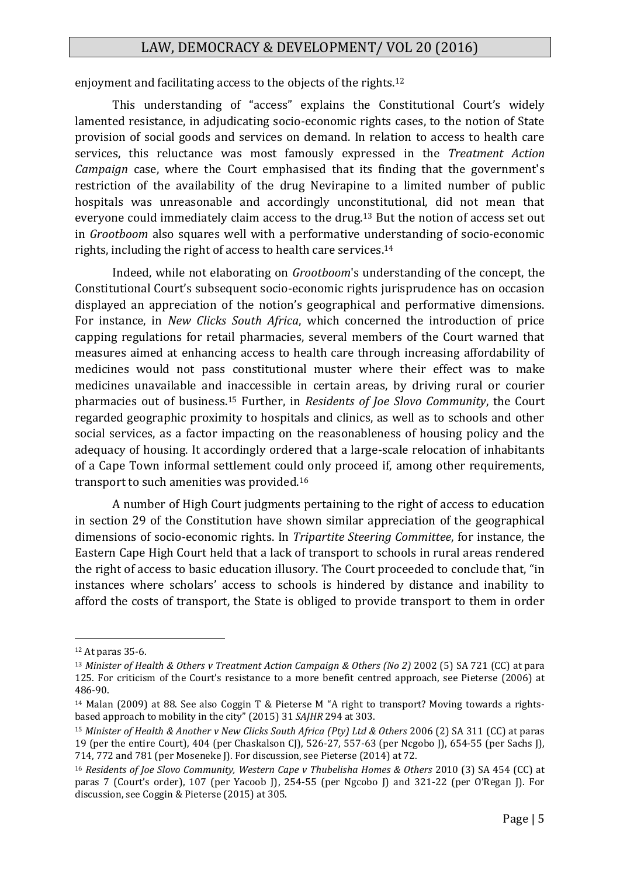enjoyment and facilitating access to the objects of the rights.<sup>12</sup>

This understanding of "access" explains the Constitutional Court's widely lamented resistance, in adjudicating socio-economic rights cases, to the notion of State provision of social goods and services on demand. In relation to access to health care services, this reluctance was most famously expressed in the *Treatment Action Campaign* case, where the Court emphasised that its finding that the government's restriction of the availability of the drug Nevirapine to a limited number of public hospitals was unreasonable and accordingly unconstitutional, did not mean that everyone could immediately claim access to the drug.<sup>13</sup> But the notion of access set out in *Grootboom* also squares well with a performative understanding of socio-economic rights, including the right of access to health care services. 14

Indeed, while not elaborating on *Grootboom*'s understanding of the concept, the Constitutional Court's subsequent socio-economic rights jurisprudence has on occasion displayed an appreciation of the notion's geographical and performative dimensions. For instance, in *New Clicks South Africa*, which concerned the introduction of price capping regulations for retail pharmacies, several members of the Court warned that measures aimed at enhancing access to health care through increasing affordability of medicines would not pass constitutional muster where their effect was to make medicines unavailable and inaccessible in certain areas, by driving rural or courier pharmacies out of business.<sup>15</sup> Further, in *Residents of Joe Slovo Community*, the Court regarded geographic proximity to hospitals and clinics, as well as to schools and other social services, as a factor impacting on the reasonableness of housing policy and the adequacy of housing. It accordingly ordered that a large-scale relocation of inhabitants of a Cape Town informal settlement could only proceed if, among other requirements, transport to such amenities was provided.<sup>16</sup>

A number of High Court judgments pertaining to the right of access to education in section 29 of the Constitution have shown similar appreciation of the geographical dimensions of socio-economic rights. In *Tripartite Steering Committee*, for instance, the Eastern Cape High Court held that a lack of transport to schools in rural areas rendered the right of access to basic education illusory. The Court proceeded to conclude that, "in instances where scholars' access to schools is hindered by distance and inability to afford the costs of transport, the State is obliged to provide transport to them in order

<sup>12</sup> At paras 35-6.

<sup>13</sup> *Minister of Health & Others v Treatment Action Campaign & Others (No 2)* 2002 (5) SA 721 (CC) at para 125. For criticism of the Court's resistance to a more benefit centred approach, see Pieterse (2006) at 486-90.

<sup>14</sup> Malan (2009) at 88. See also Coggin T & Pieterse M "A right to transport? Moving towards a rightsbased approach to mobility in the city" (2015) 31 *SAJHR* 294 at 303.

<sup>15</sup> *Minister of Health & Another v New Clicks South Africa (Pty) Ltd & Others* 2006 (2) SA 311 (CC) at paras 19 (per the entire Court), 404 (per Chaskalson CJ), 526-27, 557-63 (per Ncgobo J), 654-55 (per Sachs J), 714, 772 and 781 (per Moseneke J). For discussion, see Pieterse (2014) at 72.

<sup>16</sup> *Residents of Joe Slovo Community, Western Cape v Thubelisha Homes & Others* 2010 (3) SA 454 (CC) at paras 7 (Court's order), 107 (per Yacoob J), 254-55 (per Ngcobo J) and 321-22 (per O'Regan J). For discussion, see Coggin & Pieterse (2015) at 305.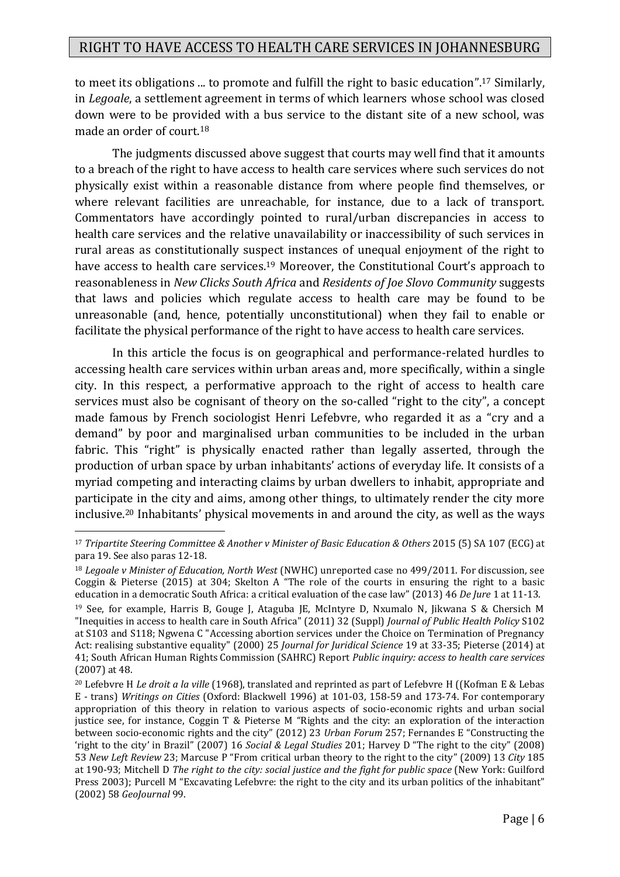to meet its obligations ... to promote and fulfill the right to basic education".<sup>17</sup> Similarly, in *Legoale*, a settlement agreement in terms of which learners whose school was closed down were to be provided with a bus service to the distant site of a new school, was made an order of court.<sup>18</sup>

The judgments discussed above suggest that courts may well find that it amounts to a breach of the right to have access to health care services where such services do not physically exist within a reasonable distance from where people find themselves, or where relevant facilities are unreachable, for instance, due to a lack of transport. Commentators have accordingly pointed to rural/urban discrepancies in access to health care services and the relative unavailability or inaccessibility of such services in rural areas as constitutionally suspect instances of unequal enjoyment of the right to have access to health care services.<sup>19</sup> Moreover, the Constitutional Court's approach to reasonableness in *New Clicks South Africa* and *Residents of Joe Slovo Community* suggests that laws and policies which regulate access to health care may be found to be unreasonable (and, hence, potentially unconstitutional) when they fail to enable or facilitate the physical performance of the right to have access to health care services.

In this article the focus is on geographical and performance-related hurdles to accessing health care services within urban areas and, more specifically, within a single city. In this respect, a performative approach to the right of access to health care services must also be cognisant of theory on the so-called "right to the city", a concept made famous by French sociologist Henri Lefebvre, who regarded it as a "cry and a demand" by poor and marginalised urban communities to be included in the urban fabric. This "right" is physically enacted rather than legally asserted, through the production of urban space by urban inhabitants' actions of everyday life. It consists of a myriad competing and interacting claims by urban dwellers to inhabit, appropriate and participate in the city and aims, among other things, to ultimately render the city more inclusive. <sup>20</sup> Inhabitants' physical movements in and around the city, as well as the ways

<sup>17</sup> *Tripartite Steering Committee & Another v Minister of Basic Education & Others* 2015 (5) SA 107 (ECG) at para 19. See also paras 12-18.

<sup>18</sup> *Legoale v Minister of Education, North West* (NWHC) unreported case no 499/2011. For discussion, see Coggin & Pieterse (2015) at 304; Skelton A "The role of the courts in ensuring the right to a basic education in a democratic South Africa: a critical evaluation of the case law" (2013) 46 *De Jure* 1 at 11-13.

<sup>19</sup> See, for example, Harris B, Gouge J, Ataguba JE, McIntyre D, Nxumalo N, Jikwana S & Chersich M "Inequities in access to health care in South Africa" (2011) 32 (Suppl) *Journal of Public Health Policy* S102 at S103 and S118; Ngwena C "Accessing abortion services under the Choice on Termination of Pregnancy Act: realising substantive equality" (2000) 25 *Journal for Juridical Science* 19 at 33-35; Pieterse (2014) at 41; South African Human Rights Commission (SAHRC) Report *Public inquiry: access to health care services* (2007) at 48.

<sup>20</sup> Lefebvre H *Le droit a la ville* (1968), translated and reprinted as part of Lefebvre H ((Kofman E & Lebas E - trans) *Writings on Cities* (Oxford: Blackwell 1996) at 101-03, 158-59 and 173-74. For contemporary appropriation of this theory in relation to various aspects of socio-economic rights and urban social justice see, for instance, Coggin T & Pieterse M "Rights and the city: an exploration of the interaction between socio-economic rights and the city" (2012) 23 *Urban Forum* 257; Fernandes E "Constructing the 'right to the city' in Brazil" (2007) 16 *Social & Legal Studies* 201; Harvey D "The right to the city" (2008) 53 *New Left Review* 23; Marcuse P "From critical urban theory to the right to the city" (2009) 13 *City* 185 at 190-93; Mitchell D *The right to the city: social justice and the fight for public space* (New York: Guilford Press 2003); Purcell M "Excavating Lefebvre: the right to the city and its urban politics of the inhabitant" (2002) 58 *GeoJournal* 99.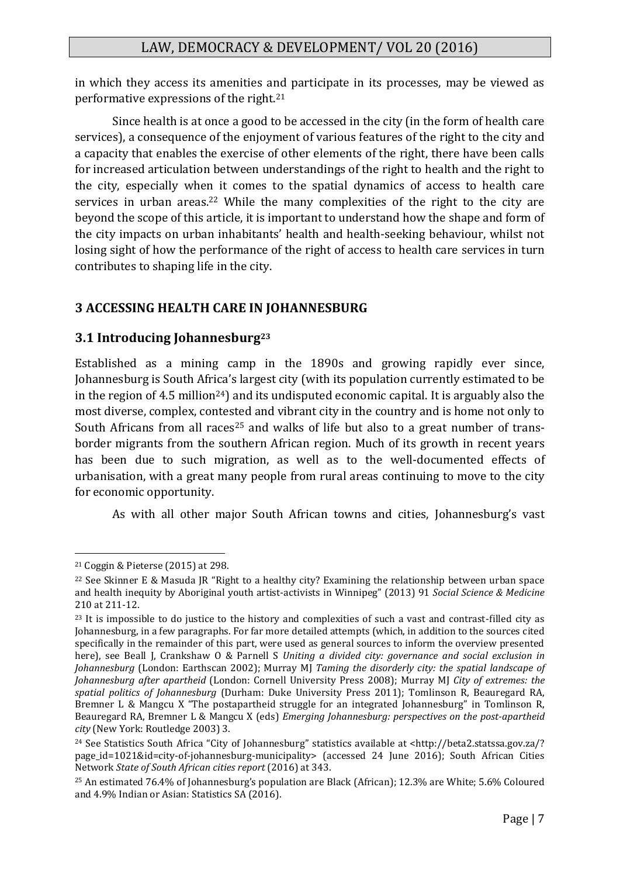in which they access its amenities and participate in its processes, may be viewed as performative expressions of the right.<sup>21</sup>

Since health is at once a good to be accessed in the city (in the form of health care services), a consequence of the enjoyment of various features of the right to the city and a capacity that enables the exercise of other elements of the right, there have been calls for increased articulation between understandings of the right to health and the right to the city, especially when it comes to the spatial dynamics of access to health care services in urban areas.<sup>22</sup> While the many complexities of the right to the city are beyond the scope of this article, it is important to understand how the shape and form of the city impacts on urban inhabitants' health and health-seeking behaviour, whilst not losing sight of how the performance of the right of access to health care services in turn contributes to shaping life in the city.

# **3 ACCESSING HEALTH CARE IN JOHANNESBURG**

#### **3.1 Introducing Johannesburg<sup>23</sup>**

Established as a mining camp in the 1890s and growing rapidly ever since, Johannesburg is South Africa's largest city (with its population currently estimated to be in the region of 4.5 million<sup>24</sup>) and its undisputed economic capital. It is arguably also the most diverse, complex, contested and vibrant city in the country and is home not only to South Africans from all races<sup>25</sup> and walks of life but also to a great number of transborder migrants from the southern African region. Much of its growth in recent years has been due to such migration, as well as to the well-documented effects of urbanisation, with a great many people from rural areas continuing to move to the city for economic opportunity.

As with all other major South African towns and cities, Johannesburg's vast

<sup>21</sup> Coggin & Pieterse (2015) at 298.

<sup>22</sup> See Skinner E & Masuda JR "Right to a healthy city? Examining the relationship between urban space and health inequity by Aboriginal youth artist-activists in Winnipeg" (2013) 91 *Social Science & Medicine* 210 at 211-12.

<sup>&</sup>lt;sup>23</sup> It is impossible to do justice to the history and complexities of such a vast and contrast-filled city as Johannesburg, in a few paragraphs. For far more detailed attempts (which, in addition to the sources cited specifically in the remainder of this part, were used as general sources to inform the overview presented here), see Beall J, Crankshaw O & Parnell S *Uniting a divided city: governance and social exclusion in Johannesburg* (London: Earthscan 2002); Murray MJ *Taming the disorderly city: the spatial landscape of Johannesburg after apartheid* (London: Cornell University Press 2008); Murray MJ *City of extremes: the spatial politics of Johannesburg* (Durham: Duke University Press 2011); Tomlinson R, Beauregard RA, Bremner L & Mangcu X "The postapartheid struggle for an integrated Johannesburg" in Tomlinson R, Beauregard RA, Bremner L & Mangcu X (eds) *Emerging Johannesburg: perspectives on the post-apartheid city* (New York: Routledge 2003) 3.

<sup>24</sup> See Statistics South Africa "City of Johannesburg" statistics available at <http://beta2.statssa.gov.za/? page\_id=1021&id=city-of-johannesburg-municipality> (accessed 24 June 2016); South African Cities Network *State of South African cities report* (2016) at 343.

<sup>25</sup> An estimated 76.4% of Johannesburg's population are Black (African); 12.3% are White; 5.6% Coloured and 4.9% Indian or Asian: Statistics SA (2016).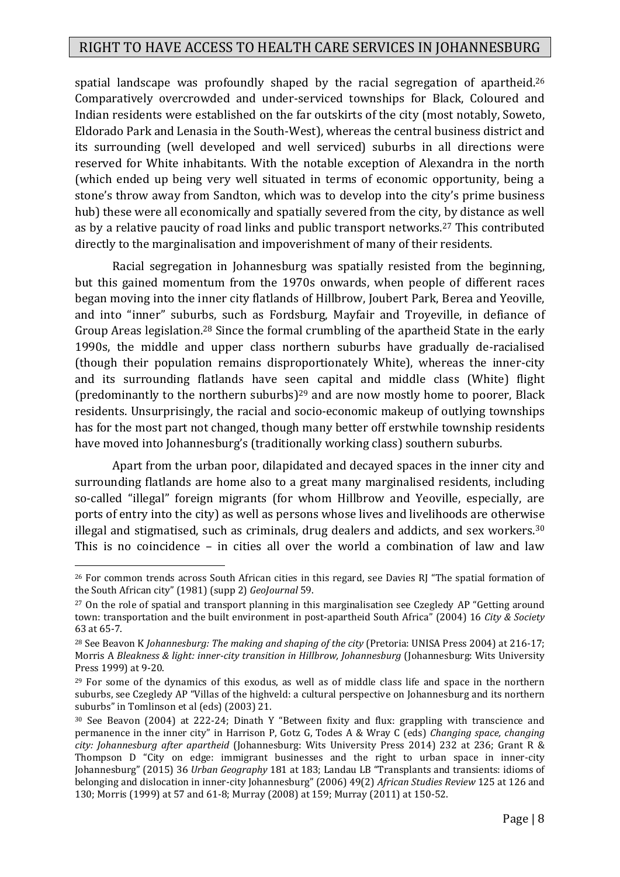spatial landscape was profoundly shaped by the racial segregation of apartheid.<sup>26</sup> Comparatively overcrowded and under-serviced townships for Black, Coloured and Indian residents were established on the far outskirts of the city (most notably, Soweto, Eldorado Park and Lenasia in the South-West), whereas the central business district and its surrounding (well developed and well serviced) suburbs in all directions were reserved for White inhabitants. With the notable exception of Alexandra in the north (which ended up being very well situated in terms of economic opportunity, being a stone's throw away from Sandton, which was to develop into the city's prime business hub) these were all economically and spatially severed from the city, by distance as well as by a relative paucity of road links and public transport networks. <sup>27</sup> This contributed directly to the marginalisation and impoverishment of many of their residents.

Racial segregation in Johannesburg was spatially resisted from the beginning, but this gained momentum from the 1970s onwards, when people of different races began moving into the inner city flatlands of Hillbrow, Joubert Park, Berea and Yeoville, and into "inner" suburbs, such as Fordsburg, Mayfair and Troyeville, in defiance of Group Areas legislation.<sup>28</sup> Since the formal crumbling of the apartheid State in the early 1990s, the middle and upper class northern suburbs have gradually de-racialised (though their population remains disproportionately White), whereas the inner-city and its surrounding flatlands have seen capital and middle class (White) flight (predominantly to the northern suburbs)<sup>29</sup> and are now mostly home to poorer, Black residents. Unsurprisingly, the racial and socio-economic makeup of outlying townships has for the most part not changed, though many better off erstwhile township residents have moved into Johannesburg's (traditionally working class) southern suburbs.

Apart from the urban poor, dilapidated and decayed spaces in the inner city and surrounding flatlands are home also to a great many marginalised residents, including so-called "illegal" foreign migrants (for whom Hillbrow and Yeoville, especially, are ports of entry into the city) as well as persons whose lives and livelihoods are otherwise illegal and stigmatised, such as criminals, drug dealers and addicts, and sex workers.<sup>30</sup> This is no coincidence – in cities all over the world a combination of law and law

<sup>&</sup>lt;sup>26</sup> For common trends across South African cities in this regard, see Davies RJ "The spatial formation of the South African city" (1981) (supp 2) *GeoJournal* 59.

<sup>&</sup>lt;sup>27</sup> On the role of spatial and transport planning in this marginalisation see Czegledy AP "Getting around town: transportation and the built environment in post-apartheid South Africa" (2004) 16 *City & Society* 63 at 65-7.

<sup>28</sup> See Beavon K *Johannesburg: The making and shaping of the city* (Pretoria: UNISA Press 2004) at 216-17; Morris A *Bleakness & light: inner-city transition in Hillbrow, Johannesburg* (Johannesburg: Wits University Press 1999) at 9-20.

 $29$  For some of the dynamics of this exodus, as well as of middle class life and space in the northern suburbs, see Czegledy AP "Villas of the highveld: a cultural perspective on Johannesburg and its northern suburbs" in Tomlinson et al (eds) (2003) 21.

<sup>30</sup> See Beavon (2004) at 222-24; Dinath Y "Between fixity and flux: grappling with transcience and permanence in the inner city" in Harrison P, Gotz G, Todes A & Wray C (eds) *Changing space, changing city: Johannesburg after apartheid* (Johannesburg: Wits University Press 2014) 232 at 236; Grant R & Thompson D "City on edge: immigrant businesses and the right to urban space in inner-city Johannesburg" (2015) 36 *Urban Geography* 181 at 183; Landau LB "Transplants and transients: idioms of belonging and dislocation in inner-city Johannesburg" (2006) 49(2) *African Studies Review* 125 at 126 and 130; Morris (1999) at 57 and 61-8; Murray (2008) at 159; Murray (2011) at 150-52.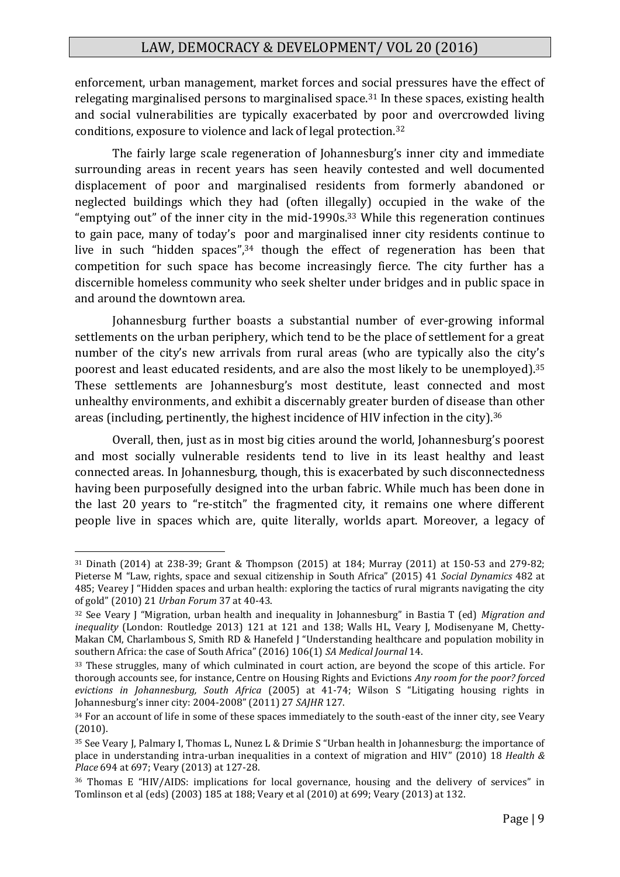enforcement, urban management, market forces and social pressures have the effect of relegating marginalised persons to marginalised space.<sup>31</sup> In these spaces, existing health and social vulnerabilities are typically exacerbated by poor and overcrowded living conditions, exposure to violence and lack of legal protection.<sup>32</sup>

The fairly large scale regeneration of Johannesburg's inner city and immediate surrounding areas in recent years has seen heavily contested and well documented displacement of poor and marginalised residents from formerly abandoned or neglected buildings which they had (often illegally) occupied in the wake of the "emptying out" of the inner city in the mid-1990s. <sup>33</sup> While this regeneration continues to gain pace, many of today's poor and marginalised inner city residents continue to live in such "hidden spaces", <sup>34</sup> though the effect of regeneration has been that competition for such space has become increasingly fierce. The city further has a discernible homeless community who seek shelter under bridges and in public space in and around the downtown area.

Johannesburg further boasts a substantial number of ever-growing informal settlements on the urban periphery, which tend to be the place of settlement for a great number of the city's new arrivals from rural areas (who are typically also the city's poorest and least educated residents, and are also the most likely to be unemployed). 35 These settlements are Johannesburg's most destitute, least connected and most unhealthy environments, and exhibit a discernably greater burden of disease than other areas (including, pertinently, the highest incidence of HIV infection in the city).<sup>36</sup>

Overall, then, just as in most big cities around the world, Johannesburg's poorest and most socially vulnerable residents tend to live in its least healthy and least connected areas. In Johannesburg, though, this is exacerbated by such disconnectedness having been purposefully designed into the urban fabric. While much has been done in the last 20 years to "re-stitch" the fragmented city, it remains one where different people live in spaces which are, quite literally, worlds apart. Moreover, a legacy of

<u>.</u>

<sup>31</sup> Dinath (2014) at 238-39; Grant & Thompson (2015) at 184; Murray (2011) at 150-53 and 279-82; Pieterse M "Law, rights, space and sexual citizenship in South Africa" (2015) 41 *Social Dynamics* 482 at 485; Vearey J "Hidden spaces and urban health: exploring the tactics of rural migrants navigating the city of gold" (2010) 21 *Urban Forum* 37 at 40-43.

<sup>32</sup> See Veary J "Migration, urban health and inequality in Johannesburg" in Bastia T (ed) *Migration and inequality* (London: Routledge 2013) 121 at 121 and 138; Walls HL, Veary J, Modisenyane M, Chetty-Makan CM, Charlambous S, Smith RD & Hanefeld J "Understanding healthcare and population mobility in southern Africa: the case of South Africa" (2016) 106(1) *SA Medical Journal* 14.

<sup>33</sup> These struggles, many of which culminated in court action, are beyond the scope of this article. For thorough accounts see, for instance, Centre on Housing Rights and Evictions *Any room for the poor? forced evictions in Johannesburg, South Africa* (2005) at 41-74; Wilson S "Litigating housing rights in Johannesburg's inner city: 2004-2008" (2011) 27 *SAJHR* 127.

 $34$  For an account of life in some of these spaces immediately to the south-east of the inner city, see Veary (2010).

<sup>35</sup> See Veary J, Palmary I, Thomas L, Nunez L & Drimie S "Urban health in Johannesburg: the importance of place in understanding intra-urban inequalities in a context of migration and HIV" (2010) 18 *Health & Place* 694 at 697; Veary (2013) at 127-28.

<sup>36</sup> Thomas E "HIV/AIDS: implications for local governance, housing and the delivery of services" in Tomlinson et al (eds) (2003) 185 at 188; Veary et al (2010) at 699; Veary (2013) at 132.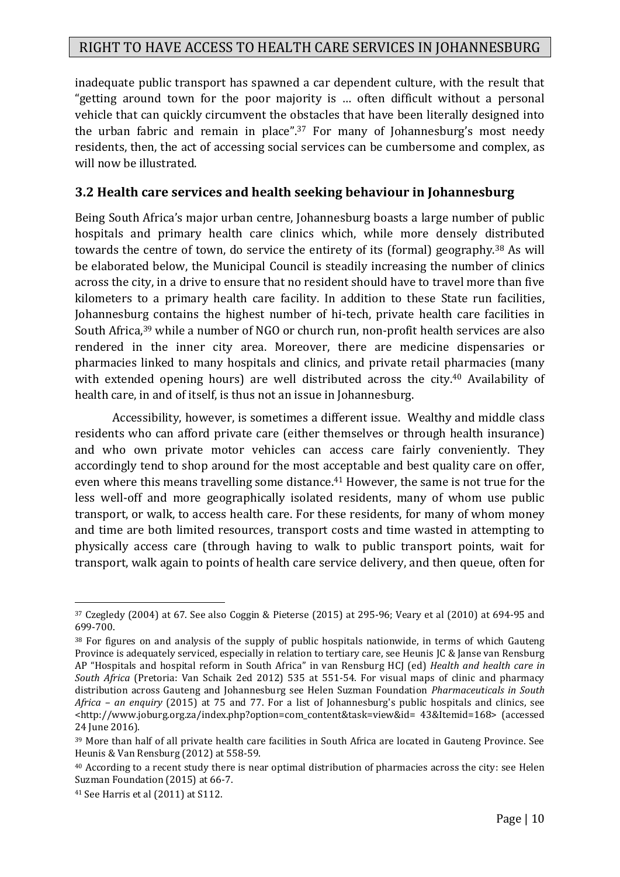inadequate public transport has spawned a car dependent culture, with the result that "getting around town for the poor majority is … often difficult without a personal vehicle that can quickly circumvent the obstacles that have been literally designed into the urban fabric and remain in place". <sup>37</sup> For many of Johannesburg's most needy residents, then, the act of accessing social services can be cumbersome and complex, as will now be illustrated.

# **3.2 Health care services and health seeking behaviour in Johannesburg**

Being South Africa's major urban centre, Johannesburg boasts a large number of public hospitals and primary health care clinics which, while more densely distributed towards the centre of town, do service the entirety of its (formal) geography.<sup>38</sup> As will be elaborated below, the Municipal Council is steadily increasing the number of clinics across the city, in a drive to ensure that no resident should have to travel more than five kilometers to a primary health care facility. In addition to these State run facilities, Johannesburg contains the highest number of hi-tech, private health care facilities in South Africa,<sup>39</sup> while a number of NGO or church run, non-profit health services are also rendered in the inner city area. Moreover, there are medicine dispensaries or pharmacies linked to many hospitals and clinics, and private retail pharmacies (many with extended opening hours) are well distributed across the city.<sup>40</sup> Availability of health care, in and of itself, is thus not an issue in Johannesburg.

Accessibility, however, is sometimes a different issue. Wealthy and middle class residents who can afford private care (either themselves or through health insurance) and who own private motor vehicles can access care fairly conveniently. They accordingly tend to shop around for the most acceptable and best quality care on offer, even where this means travelling some distance. <sup>41</sup> However, the same is not true for the less well-off and more geographically isolated residents, many of whom use public transport, or walk, to access health care. For these residents, for many of whom money and time are both limited resources, transport costs and time wasted in attempting to physically access care (through having to walk to public transport points, wait for transport, walk again to points of health care service delivery, and then queue, often for

<sup>37</sup> Czegledy (2004) at 67. See also Coggin & Pieterse (2015) at 295-96; Veary et al (2010) at 694-95 and 699-700.

<sup>&</sup>lt;sup>38</sup> For figures on and analysis of the supply of public hospitals nationwide, in terms of which Gauteng Province is adequately serviced, especially in relation to tertiary care, see Heunis JC & Janse van Rensburg AP "Hospitals and hospital reform in South Africa" in van Rensburg HCJ (ed) *Health and health care in South Africa* (Pretoria: Van Schaik 2ed 2012) 535 at 551-54. For visual maps of clinic and pharmacy distribution across Gauteng and Johannesburg see Helen Suzman Foundation *Pharmaceuticals in South Africa – an enquiry* (2015) at 75 and 77. For a list of Johannesburg's public hospitals and clinics, see <http://www.joburg.org.za/index.php?option=com\_content&task=view&id= 43&Itemid=168> (accessed 24 June 2016).

<sup>39</sup> More than half of all private health care facilities in South Africa are located in Gauteng Province. See Heunis & Van Rensburg (2012) at 558-59.

<sup>40</sup> According to a recent study there is near optimal distribution of pharmacies across the city: see Helen Suzman Foundation (2015) at 66-7.

<sup>41</sup> See Harris et al (2011) at S112.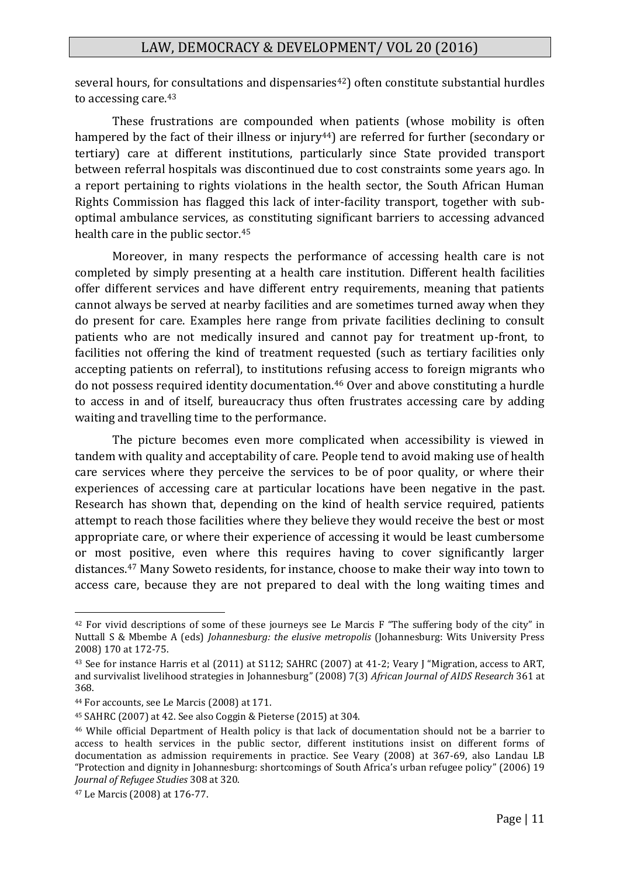several hours, for consultations and dispensaries<sup>42</sup>) often constitute substantial hurdles to accessing care.<sup>43</sup>

These frustrations are compounded when patients (whose mobility is often hampered by the fact of their illness or injury<sup>44</sup>) are referred for further (secondary or tertiary) care at different institutions, particularly since State provided transport between referral hospitals was discontinued due to cost constraints some years ago. In a report pertaining to rights violations in the health sector, the South African Human Rights Commission has flagged this lack of inter-facility transport, together with suboptimal ambulance services, as constituting significant barriers to accessing advanced health care in the public sector.<sup>45</sup>

Moreover, in many respects the performance of accessing health care is not completed by simply presenting at a health care institution. Different health facilities offer different services and have different entry requirements, meaning that patients cannot always be served at nearby facilities and are sometimes turned away when they do present for care. Examples here range from private facilities declining to consult patients who are not medically insured and cannot pay for treatment up-front, to facilities not offering the kind of treatment requested (such as tertiary facilities only accepting patients on referral), to institutions refusing access to foreign migrants who do not possess required identity documentation.<sup>46</sup> Over and above constituting a hurdle to access in and of itself, bureaucracy thus often frustrates accessing care by adding waiting and travelling time to the performance.

The picture becomes even more complicated when accessibility is viewed in tandem with quality and acceptability of care. People tend to avoid making use of health care services where they perceive the services to be of poor quality, or where their experiences of accessing care at particular locations have been negative in the past. Research has shown that, depending on the kind of health service required, patients attempt to reach those facilities where they believe they would receive the best or most appropriate care, or where their experience of accessing it would be least cumbersome or most positive, even where this requires having to cover significantly larger distances.<sup>47</sup> Many Soweto residents, for instance, choose to make their way into town to access care, because they are not prepared to deal with the long waiting times and

 $42$  For vivid descriptions of some of these journeys see Le Marcis F "The suffering body of the city" in Nuttall S & Mbembe A (eds) *Johannesburg: the elusive metropolis* (Johannesburg: Wits University Press 2008) 170 at 172-75.

<sup>&</sup>lt;sup>43</sup> See for instance Harris et al (2011) at S112; SAHRC (2007) at 41-2; Veary J "Migration, access to ART, and survivalist livelihood strategies in Johannesburg" (2008) 7(3) *African Journal of AIDS Research* 361 at 368.

<sup>44</sup> For accounts, see Le Marcis (2008) at 171.

<sup>45</sup> SAHRC (2007) at 42. See also Coggin & Pieterse (2015) at 304.

<sup>46</sup> While official Department of Health policy is that lack of documentation should not be a barrier to access to health services in the public sector, different institutions insist on different forms of documentation as admission requirements in practice. See Veary (2008) at 367-69, also Landau LB "Protection and dignity in Johannesburg: shortcomings of South Africa's urban refugee policy" (2006) 19 *Journal of Refugee Studies* 308 at 320.

<sup>47</sup> Le Marcis (2008) at 176-77.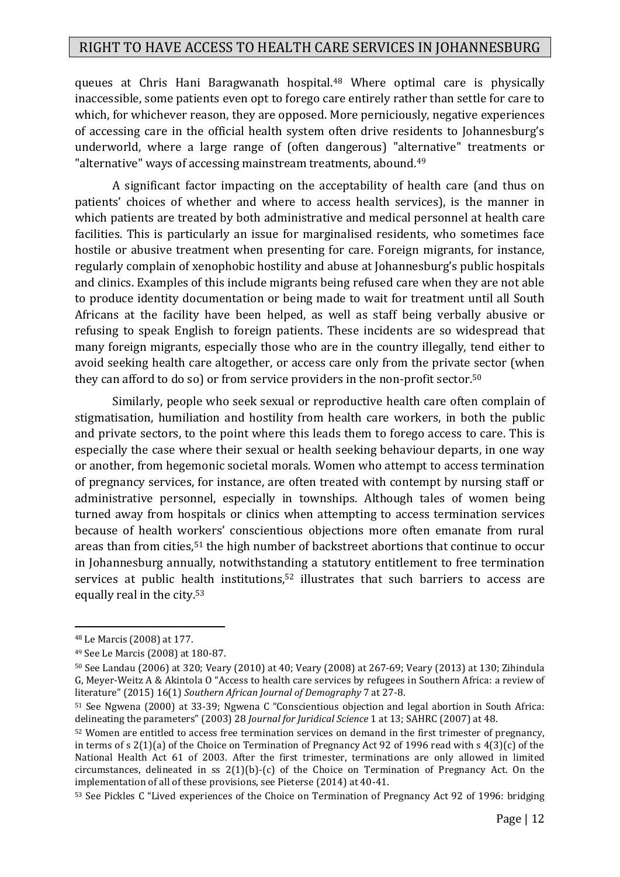queues at Chris Hani Baragwanath hospital.<sup>48</sup> Where optimal care is physically inaccessible, some patients even opt to forego care entirely rather than settle for care to which, for whichever reason, they are opposed. More perniciously, negative experiences of accessing care in the official health system often drive residents to Johannesburg's underworld, where a large range of (often dangerous) "alternative" treatments or "alternative" ways of accessing mainstream treatments, abound.<sup>49</sup>

A significant factor impacting on the acceptability of health care (and thus on patients' choices of whether and where to access health services), is the manner in which patients are treated by both administrative and medical personnel at health care facilities. This is particularly an issue for marginalised residents, who sometimes face hostile or abusive treatment when presenting for care. Foreign migrants, for instance, regularly complain of xenophobic hostility and abuse at Johannesburg's public hospitals and clinics. Examples of this include migrants being refused care when they are not able to produce identity documentation or being made to wait for treatment until all South Africans at the facility have been helped, as well as staff being verbally abusive or refusing to speak English to foreign patients. These incidents are so widespread that many foreign migrants, especially those who are in the country illegally, tend either to avoid seeking health care altogether, or access care only from the private sector (when they can afford to do so) or from service providers in the non-profit sector. 50

Similarly, people who seek sexual or reproductive health care often complain of stigmatisation, humiliation and hostility from health care workers, in both the public and private sectors, to the point where this leads them to forego access to care. This is especially the case where their sexual or health seeking behaviour departs, in one way or another, from hegemonic societal morals. Women who attempt to access termination of pregnancy services, for instance, are often treated with contempt by nursing staff or administrative personnel, especially in townships. Although tales of women being turned away from hospitals or clinics when attempting to access termination services because of health workers' conscientious objections more often emanate from rural areas than from cities,<sup>51</sup> the high number of backstreet abortions that continue to occur in Johannesburg annually, notwithstanding a statutory entitlement to free termination services at public health institutions,<sup>52</sup> illustrates that such barriers to access are equally real in the city. 53

<sup>48</sup> Le Marcis (2008) at 177.

<sup>49</sup> See Le Marcis (2008) at 180-87.

<sup>50</sup> See Landau (2006) at 320; Veary (2010) at 40; Veary (2008) at 267-69; Veary (2013) at 130; Zihindula G, Meyer-Weitz A & Akintola O "Access to health care services by refugees in Southern Africa: a review of literature" (2015) 16(1) *Southern African Journal of Demography* 7 at 27-8.

<sup>51</sup> See Ngwena (2000) at 33-39; Ngwena C "Conscientious objection and legal abortion in South Africa: delineating the parameters" (2003) 28 *Journal for Juridical Science* 1 at 13; SAHRC (2007) at 48.

<sup>52</sup> Women are entitled to access free termination services on demand in the first trimester of pregnancy, in terms of s 2(1)(a) of the Choice on Termination of Pregnancy Act 92 of 1996 read with s 4(3)(c) of the National Health Act 61 of 2003. After the first trimester, terminations are only allowed in limited circumstances, delineated in ss  $2(1)(b)-(c)$  of the Choice on Termination of Pregnancy Act. On the implementation of all of these provisions, see Pieterse (2014) at 40-41.

<sup>53</sup> See Pickles C "Lived experiences of the Choice on Termination of Pregnancy Act 92 of 1996: bridging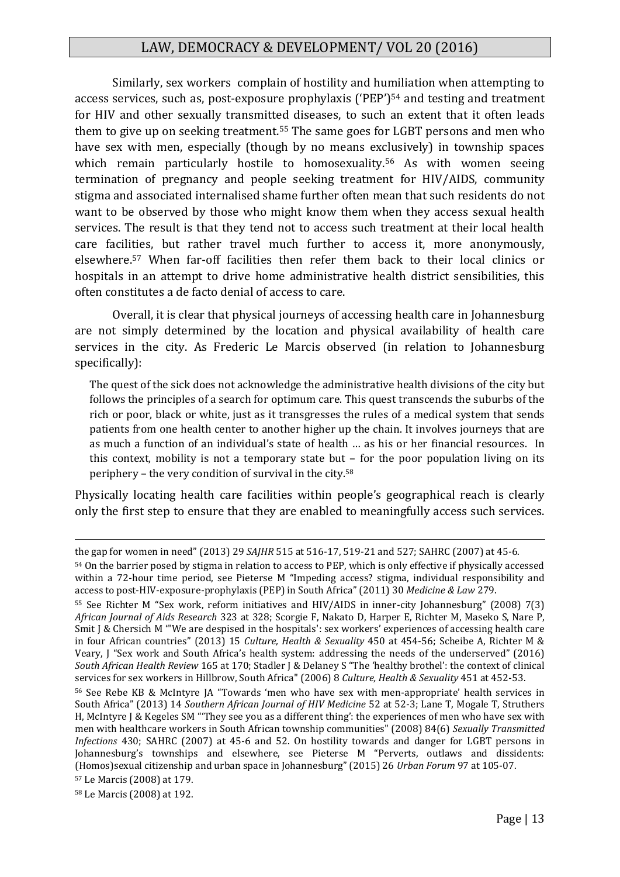Similarly, sex workers complain of hostility and humiliation when attempting to access services, such as, post-exposure prophylaxis ('PEP')<sup>54</sup> and testing and treatment for HIV and other sexually transmitted diseases, to such an extent that it often leads them to give up on seeking treatment.<sup>55</sup> The same goes for LGBT persons and men who have sex with men, especially (though by no means exclusively) in township spaces which remain particularly hostile to homosexuality.<sup>56</sup> As with women seeing termination of pregnancy and people seeking treatment for HIV/AIDS, community stigma and associated internalised shame further often mean that such residents do not want to be observed by those who might know them when they access sexual health services. The result is that they tend not to access such treatment at their local health care facilities, but rather travel much further to access it, more anonymously, elsewhere.<sup>57</sup> When far-off facilities then refer them back to their local clinics or hospitals in an attempt to drive home administrative health district sensibilities, this often constitutes a de facto denial of access to care.

Overall, it is clear that physical journeys of accessing health care in Johannesburg are not simply determined by the location and physical availability of health care services in the city. As Frederic Le Marcis observed (in relation to Johannesburg specifically):

The quest of the sick does not acknowledge the administrative health divisions of the city but follows the principles of a search for optimum care. This quest transcends the suburbs of the rich or poor, black or white, just as it transgresses the rules of a medical system that sends patients from one health center to another higher up the chain. It involves journeys that are as much a function of an individual's state of health … as his or her financial resources. In this context, mobility is not a temporary state but – for the poor population living on its periphery – the very condition of survival in the city. 58

Physically locating health care facilities within people's geographical reach is clearly only the first step to ensure that they are enabled to meaningfully access such services.

<sup>57</sup> Le Marcis (2008) at 179.

1

<sup>58</sup> Le Marcis (2008) at 192.

the gap for women in need" (2013) 29 *SAJHR* 515 at 516-17, 519-21 and 527; SAHRC (2007) at 45-6.

<sup>54</sup> On the barrier posed by stigma in relation to access to PEP, which is only effective if physically accessed within a 72-hour time period, see Pieterse M "Impeding access? stigma, individual responsibility and access to post-HIV-exposure-prophylaxis (PEP) in South Africa" (2011) 30 *Medicine & Law* 279.

<sup>55</sup> See Richter M "Sex work, reform initiatives and HIV/AIDS in inner-city Johannesburg" (2008) 7(3) *African Journal of Aids Research* 323 at 328; Scorgie F, Nakato D, Harper E, Richter M, Maseko S, Nare P, Smit J & Chersich M "'We are despised in the hospitals': sex workers' experiences of accessing health care in four African countries" (2013) 15 *Culture, Health & Sexuality* 450 at 454-56; Scheibe A, Richter M & Veary, J "Sex work and South Africa's health system: addressing the needs of the underserved" (2016) *South African Health Review* 165 at 170; Stadler J & Delaney S "The 'healthy brothel': the context of clinical services for sex workers in Hillbrow, South Africa" (2006) 8 *Culture, Health & Sexuality* 451 at 452-53.

<sup>56</sup> See Rebe KB & McIntyre JA "Towards 'men who have sex with men-appropriate' health services in South Africa" (2013) 14 *Southern African Journal of HIV Medicine* 52 at 52-3; Lane T, Mogale T, Struthers H, McIntyre J & Kegeles SM "'They see you as a different thing': the experiences of men who have sex with men with healthcare workers in South African township communities" (2008) 84(6) *Sexually Transmitted Infections* 430; SAHRC (2007) at 45-6 and 52. On hostility towards and danger for LGBT persons in Johannesburg's townships and elsewhere, see Pieterse M "Perverts, outlaws and dissidents: (Homos)sexual citizenship and urban space in Johannesburg" (2015) 26 *Urban Forum* 97 at 105-07.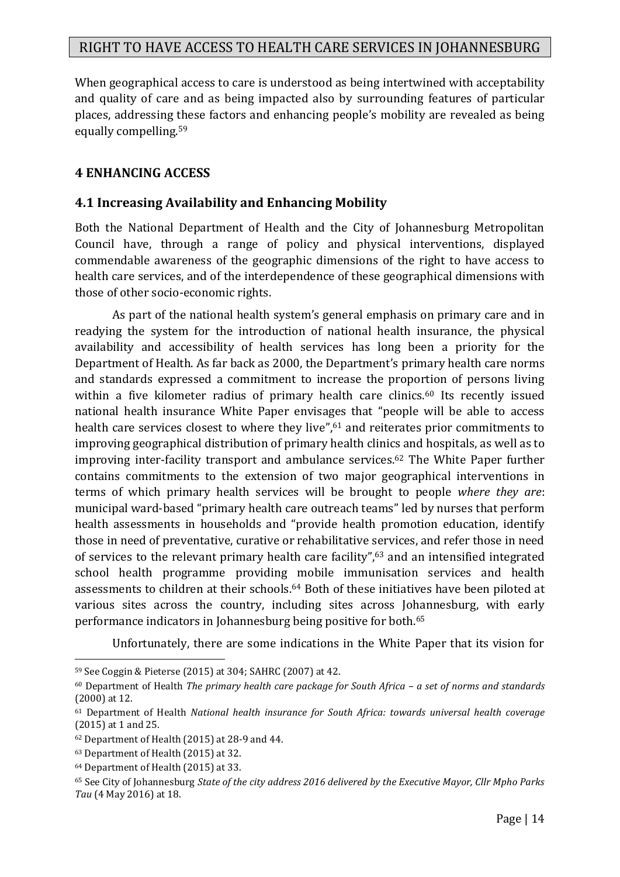When geographical access to care is understood as being intertwined with acceptability and quality of care and as being impacted also by surrounding features of particular places, addressing these factors and enhancing people's mobility are revealed as being equally compelling.<sup>59</sup>

#### **4 ENHANCING ACCESS**

#### **4.1 Increasing Availability and Enhancing Mobility**

Both the National Department of Health and the City of Johannesburg Metropolitan Council have, through a range of policy and physical interventions, displayed commendable awareness of the geographic dimensions of the right to have access to health care services, and of the interdependence of these geographical dimensions with those of other socio-economic rights.

As part of the national health system's general emphasis on primary care and in readying the system for the introduction of national health insurance, the physical availability and accessibility of health services has long been a priority for the Department of Health. As far back as 2000, the Department's primary health care norms and standards expressed a commitment to increase the proportion of persons living within a five kilometer radius of primary health care clinics.<sup>60</sup> Its recently issued national health insurance White Paper envisages that "people will be able to access health care services closest to where they live",<sup>61</sup> and reiterates prior commitments to improving geographical distribution of primary health clinics and hospitals, as well as to improving inter-facility transport and ambulance services.<sup>62</sup> The White Paper further contains commitments to the extension of two major geographical interventions in terms of which primary health services will be brought to people *where they are*: municipal ward-based "primary health care outreach teams" led by nurses that perform health assessments in households and "provide health promotion education, identify those in need of preventative, curative or rehabilitative services, and refer those in need of services to the relevant primary health care facility",<sup>63</sup> and an intensified integrated school health programme providing mobile immunisation services and health assessments to children at their schools. <sup>64</sup> Both of these initiatives have been piloted at various sites across the country, including sites across Johannesburg, with early performance indicators in Johannesburg being positive for both.<sup>65</sup>

Unfortunately, there are some indications in the White Paper that its vision for

<u>.</u>

<sup>59</sup> See Coggin & Pieterse (2015) at 304; SAHRC (2007) at 42.

<sup>60</sup> Department of Health *The primary health care package for South Africa – a set of norms and standards* (2000) at 12.

<sup>61</sup> Department of Health *National health insurance for South Africa: towards universal health coverage* (2015) at 1 and 25.

<sup>62</sup> Department of Health (2015) at 28-9 and 44.

<sup>63</sup> Department of Health (2015) at 32.

<sup>64</sup> Department of Health (2015) at 33.

<sup>65</sup> See City of Johannesburg *State of the city address 2016 delivered by the Executive Mayor, Cllr Mpho Parks Tau* (4 May 2016) at 18.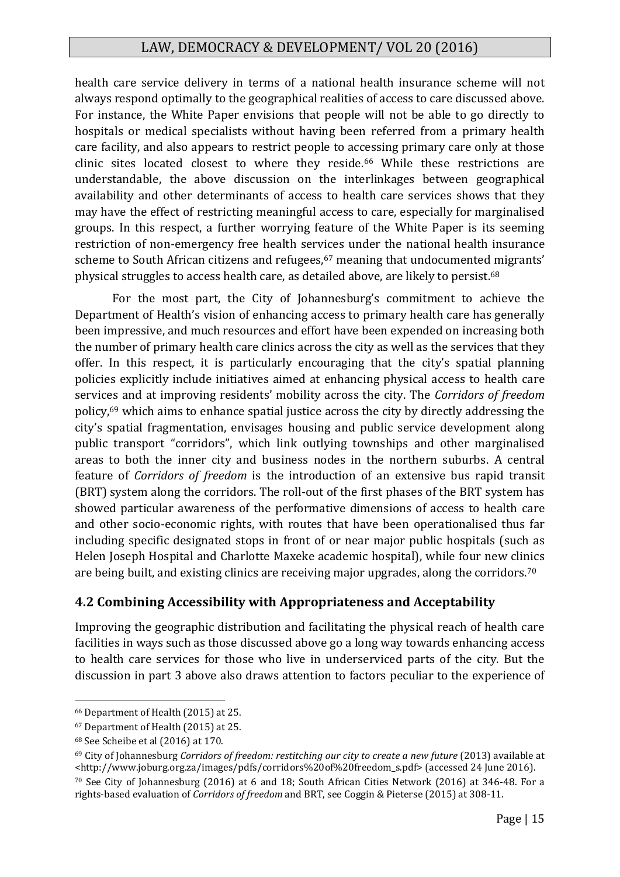health care service delivery in terms of a national health insurance scheme will not always respond optimally to the geographical realities of access to care discussed above. For instance, the White Paper envisions that people will not be able to go directly to hospitals or medical specialists without having been referred from a primary health care facility, and also appears to restrict people to accessing primary care only at those clinic sites located closest to where they reside.<sup>66</sup> While these restrictions are understandable, the above discussion on the interlinkages between geographical availability and other determinants of access to health care services shows that they may have the effect of restricting meaningful access to care, especially for marginalised groups. In this respect, a further worrying feature of the White Paper is its seeming restriction of non-emergency free health services under the national health insurance scheme to South African citizens and refugees,<sup>67</sup> meaning that undocumented migrants' physical struggles to access health care, as detailed above, are likely to persist.<sup>68</sup>

For the most part, the City of Johannesburg's commitment to achieve the Department of Health's vision of enhancing access to primary health care has generally been impressive, and much resources and effort have been expended on increasing both the number of primary health care clinics across the city as well as the services that they offer. In this respect, it is particularly encouraging that the city's spatial planning policies explicitly include initiatives aimed at enhancing physical access to health care services and at improving residents' mobility across the city. The *Corridors of freedom* policy,<sup>69</sup> which aims to enhance spatial justice across the city by directly addressing the city's spatial fragmentation, envisages housing and public service development along public transport "corridors", which link outlying townships and other marginalised areas to both the inner city and business nodes in the northern suburbs. A central feature of *Corridors of freedom* is the introduction of an extensive bus rapid transit (BRT) system along the corridors. The roll-out of the first phases of the BRT system has showed particular awareness of the performative dimensions of access to health care and other socio-economic rights, with routes that have been operationalised thus far including specific designated stops in front of or near major public hospitals (such as Helen Joseph Hospital and Charlotte Maxeke academic hospital), while four new clinics are being built, and existing clinics are receiving major upgrades, along the corridors.<sup>70</sup>

#### **4.2 Combining Accessibility with Appropriateness and Acceptability**

Improving the geographic distribution and facilitating the physical reach of health care facilities in ways such as those discussed above go a long way towards enhancing access to health care services for those who live in underserviced parts of the city. But the discussion in part 3 above also draws attention to factors peculiar to the experience of

<sup>66</sup> Department of Health (2015) at 25.

<sup>67</sup> Department of Health (2015) at 25.

<sup>68</sup> See Scheibe et al (2016) at 170.

<sup>69</sup> City of Johannesburg *Corridors of freedom: restitching our city to create a new future* (2013) available at <http://www.joburg.org.za/images/pdfs/corridors%20of%20freedom\_s.pdf> (accessed 24 June 2016).

<sup>70</sup> See City of Johannesburg (2016) at 6 and 18; South African Cities Network (2016) at 346-48. For a rights-based evaluation of *Corridors of freedom* and BRT, see Coggin & Pieterse (2015) at 308-11.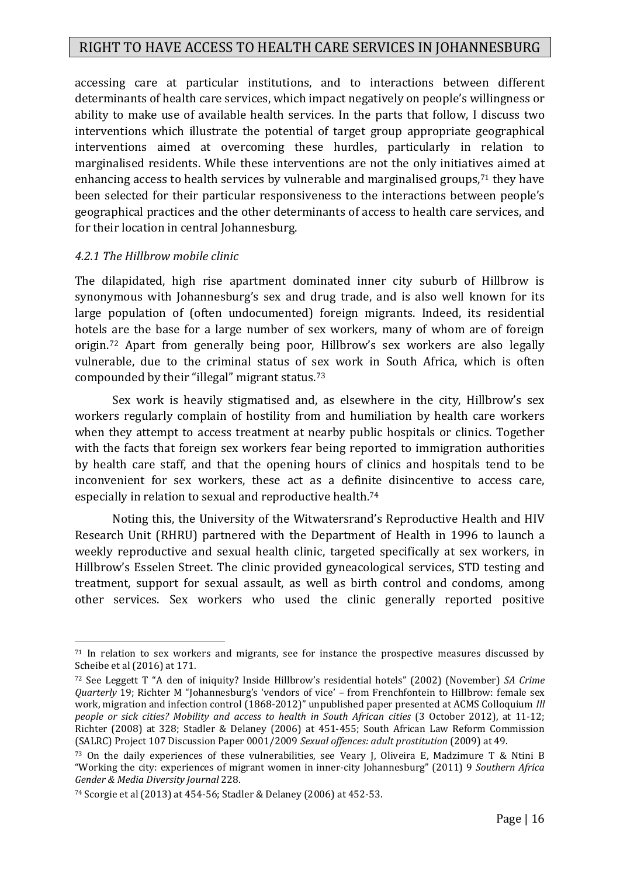accessing care at particular institutions, and to interactions between different determinants of health care services, which impact negatively on people's willingness or ability to make use of available health services. In the parts that follow, I discuss two interventions which illustrate the potential of target group appropriate geographical interventions aimed at overcoming these hurdles, particularly in relation to marginalised residents. While these interventions are not the only initiatives aimed at enhancing access to health services by vulnerable and marginalised groups,<sup>71</sup> they have been selected for their particular responsiveness to the interactions between people's geographical practices and the other determinants of access to health care services, and for their location in central Johannesburg.

#### *4.2.1 The Hillbrow mobile clinic*

1

The dilapidated, high rise apartment dominated inner city suburb of Hillbrow is synonymous with Johannesburg's sex and drug trade, and is also well known for its large population of (often undocumented) foreign migrants. Indeed, its residential hotels are the base for a large number of sex workers, many of whom are of foreign origin.<sup>72</sup> Apart from generally being poor, Hillbrow's sex workers are also legally vulnerable, due to the criminal status of sex work in South Africa, which is often compounded by their "illegal" migrant status.<sup>73</sup>

Sex work is heavily stigmatised and, as elsewhere in the city, Hillbrow's sex workers regularly complain of hostility from and humiliation by health care workers when they attempt to access treatment at nearby public hospitals or clinics. Together with the facts that foreign sex workers fear being reported to immigration authorities by health care staff, and that the opening hours of clinics and hospitals tend to be inconvenient for sex workers, these act as a definite disincentive to access care, especially in relation to sexual and reproductive health.<sup>74</sup>

Noting this, the University of the Witwatersrand's Reproductive Health and HIV Research Unit (RHRU) partnered with the Department of Health in 1996 to launch a weekly reproductive and sexual health clinic, targeted specifically at sex workers, in Hillbrow's Esselen Street. The clinic provided gyneacological services, STD testing and treatment, support for sexual assault, as well as birth control and condoms, among other services. Sex workers who used the clinic generally reported positive

<sup>&</sup>lt;sup>71</sup> In relation to sex workers and migrants, see for instance the prospective measures discussed by Scheibe et al (2016) at 171.

<sup>72</sup> See Leggett T "A den of iniquity? Inside Hillbrow's residential hotels" (2002) (November) *SA Crime Quarterly* 19; Richter M "Johannesburg's 'vendors of vice' – from Frenchfontein to Hillbrow: female sex work, migration and infection control (1868-2012)" unpublished paper presented at ACMS Colloquium *Ill people or sick cities? Mobility and access to health in South African cities* (3 October 2012), at 11-12; Richter (2008) at 328; Stadler & Delaney (2006) at 451-455; South African Law Reform Commission (SALRC) Project 107 Discussion Paper 0001/2009 *Sexual offences: adult prostitution* (2009) at 49.

<sup>73</sup> On the daily experiences of these vulnerabilities, see Veary J, Oliveira E, Madzimure T & Ntini B "Working the city: experiences of migrant women in inner-city Johannesburg" (2011) 9 *Southern Africa Gender & Media Diversity Journal* 228.

<sup>74</sup> Scorgie et al (2013) at 454-56; Stadler & Delaney (2006) at 452-53.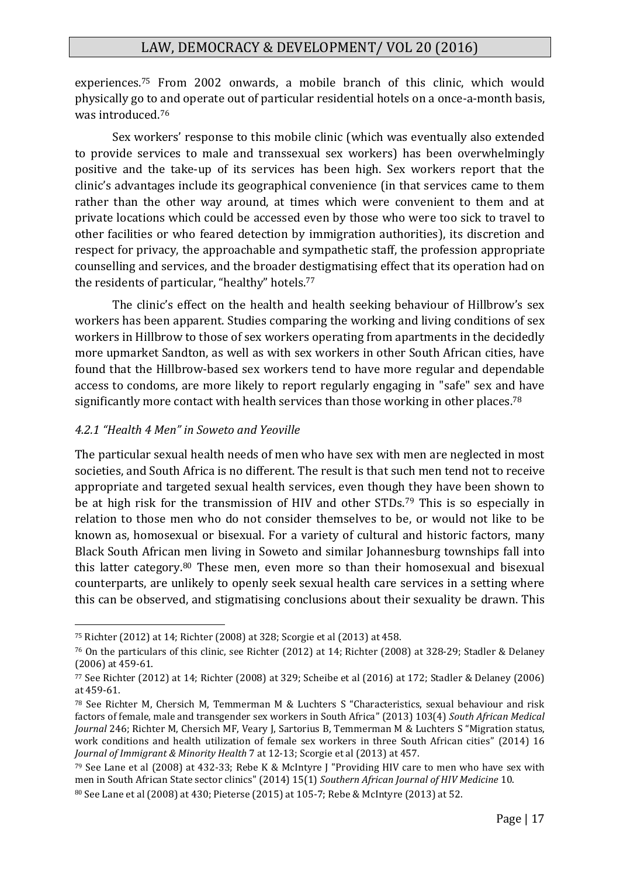experiences.<sup>75</sup> From 2002 onwards, a mobile branch of this clinic, which would physically go to and operate out of particular residential hotels on a once-a-month basis, was introduced.<sup>76</sup>

Sex workers' response to this mobile clinic (which was eventually also extended to provide services to male and transsexual sex workers) has been overwhelmingly positive and the take-up of its services has been high. Sex workers report that the clinic's advantages include its geographical convenience (in that services came to them rather than the other way around, at times which were convenient to them and at private locations which could be accessed even by those who were too sick to travel to other facilities or who feared detection by immigration authorities), its discretion and respect for privacy, the approachable and sympathetic staff, the profession appropriate counselling and services, and the broader destigmatising effect that its operation had on the residents of particular, "healthy" hotels. 77

The clinic's effect on the health and health seeking behaviour of Hillbrow's sex workers has been apparent. Studies comparing the working and living conditions of sex workers in Hillbrow to those of sex workers operating from apartments in the decidedly more upmarket Sandton, as well as with sex workers in other South African cities, have found that the Hillbrow-based sex workers tend to have more regular and dependable access to condoms, are more likely to report regularly engaging in "safe" sex and have significantly more contact with health services than those working in other places.<sup>78</sup>

#### *4.2.1 "Health 4 Men" in Soweto and Yeoville*

1

The particular sexual health needs of men who have sex with men are neglected in most societies, and South Africa is no different. The result is that such men tend not to receive appropriate and targeted sexual health services, even though they have been shown to be at high risk for the transmission of HIV and other STDs.<sup>79</sup> This is so especially in relation to those men who do not consider themselves to be, or would not like to be known as, homosexual or bisexual. For a variety of cultural and historic factors, many Black South African men living in Soweto and similar Johannesburg townships fall into this latter category.<sup>80</sup> These men, even more so than their homosexual and bisexual counterparts, are unlikely to openly seek sexual health care services in a setting where this can be observed, and stigmatising conclusions about their sexuality be drawn. This

<sup>75</sup> Richter (2012) at 14; Richter (2008) at 328; Scorgie et al (2013) at 458.

<sup>76</sup> On the particulars of this clinic, see Richter (2012) at 14; Richter (2008) at 328-29; Stadler & Delaney (2006) at 459-61.

<sup>77</sup> See Richter (2012) at 14; Richter (2008) at 329; Scheibe et al (2016) at 172; Stadler & Delaney (2006) at 459-61.

<sup>78</sup> See Richter M, Chersich M, Temmerman M & Luchters S "Characteristics, sexual behaviour and risk factors of female, male and transgender sex workers in South Africa" (2013) 103(4) *South African Medical Journal* 246; Richter M, Chersich MF, Veary J, Sartorius B, Temmerman M & Luchters S "Migration status, work conditions and health utilization of female sex workers in three South African cities" (2014) 16 *Journal of Immigrant & Minority Health* 7 at 12-13; Scorgie et al (2013) at 457.

<sup>79</sup> See Lane et al (2008) at 432-33; Rebe K & McIntyre J "Providing HIV care to men who have sex with men in South African State sector clinics" (2014) 15(1) *Southern African Journal of HIV Medicine* 10.

<sup>80</sup> See Lane et al (2008) at 430; Pieterse (2015) at 105-7; Rebe & McIntyre (2013) at 52.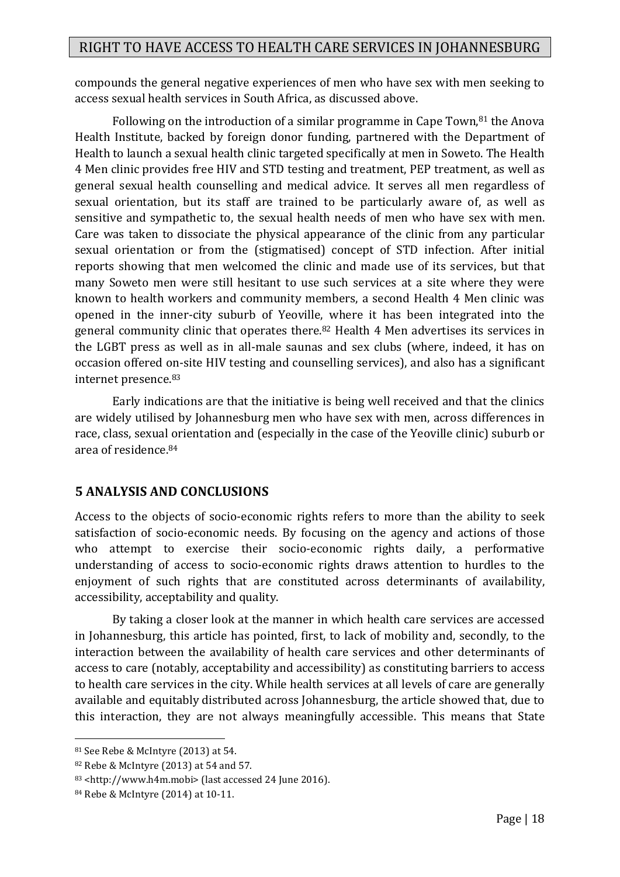compounds the general negative experiences of men who have sex with men seeking to access sexual health services in South Africa, as discussed above.

Following on the introduction of a similar programme in Cape Town,  $81$  the Anova Health Institute, backed by foreign donor funding, partnered with the Department of Health to launch a sexual health clinic targeted specifically at men in Soweto. The Health 4 Men clinic provides free HIV and STD testing and treatment, PEP treatment, as well as general sexual health counselling and medical advice. It serves all men regardless of sexual orientation, but its staff are trained to be particularly aware of, as well as sensitive and sympathetic to, the sexual health needs of men who have sex with men. Care was taken to dissociate the physical appearance of the clinic from any particular sexual orientation or from the (stigmatised) concept of STD infection. After initial reports showing that men welcomed the clinic and made use of its services, but that many Soweto men were still hesitant to use such services at a site where they were known to health workers and community members, a second Health 4 Men clinic was opened in the inner-city suburb of Yeoville, where it has been integrated into the general community clinic that operates there. <sup>82</sup> Health 4 Men advertises its services in the LGBT press as well as in all-male saunas and sex clubs (where, indeed, it has on occasion offered on-site HIV testing and counselling services), and also has a significant internet presence.<sup>83</sup>

Early indications are that the initiative is being well received and that the clinics are widely utilised by Johannesburg men who have sex with men, across differences in race, class, sexual orientation and (especially in the case of the Yeoville clinic) suburb or area of residence.<sup>84</sup>

# **5 ANALYSIS AND CONCLUSIONS**

Access to the objects of socio-economic rights refers to more than the ability to seek satisfaction of socio-economic needs. By focusing on the agency and actions of those who attempt to exercise their socio-economic rights daily, a performative understanding of access to socio-economic rights draws attention to hurdles to the enjoyment of such rights that are constituted across determinants of availability, accessibility, acceptability and quality.

By taking a closer look at the manner in which health care services are accessed in Johannesburg, this article has pointed, first, to lack of mobility and, secondly, to the interaction between the availability of health care services and other determinants of access to care (notably, acceptability and accessibility) as constituting barriers to access to health care services in the city. While health services at all levels of care are generally available and equitably distributed across Johannesburg, the article showed that, due to this interaction, they are not always meaningfully accessible. This means that State

<sup>81</sup> See Rebe & McIntyre (2013) at 54.

<sup>82</sup> Rebe & McIntyre (2013) at 54 and 57.

<sup>83</sup> <http://www.h4m.mobi> (last accessed 24 June 2016).

<sup>84</sup> Rebe & McIntyre (2014) at 10-11.